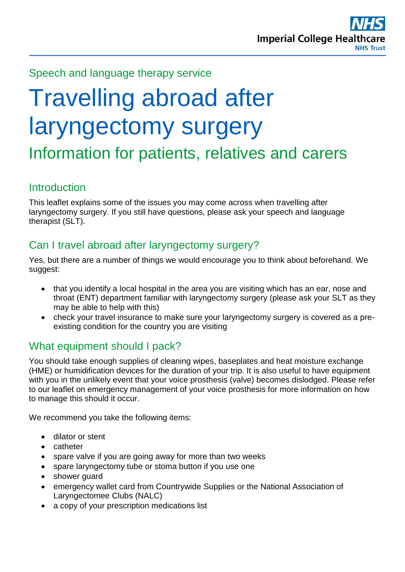

Speech and language therapy service

# Travelling abroad after laryngectomy surgery Information for patients, relatives and carers

#### **Introduction**

This leaflet explains some of the issues you may come across when travelling after laryngectomy surgery. If you still have questions, please ask your speech and language therapist (SLT).

# Can I travel abroad after laryngectomy surgery?

Yes, but there are a number of things we would encourage you to think about beforehand. We suggest:

- that you identify a local hospital in the area you are visiting which has an ear, nose and throat (ENT) department familiar with laryngectomy surgery (please ask your SLT as they may be able to help with this)
- check your travel insurance to make sure your laryngectomy surgery is covered as a preexisting condition for the country you are visiting

## What equipment should I pack?

You should take enough supplies of cleaning wipes, baseplates and heat moisture exchange (HME) or humidification devices for the duration of your trip. It is also useful to have equipment with you in the unlikely event that your voice prosthesis (valve) becomes dislodged. Please refer to our leaflet on emergency management of your voice prosthesis for more information on how to manage this should it occur.

We recommend you take the following items:

- dilator or stent
- catheter
- spare valve if you are going away for more than two weeks
- spare laryngectomy tube or stoma button if you use one
- shower quard
- emergency wallet card from Countrywide Supplies or the National Association of Laryngectomee Clubs (NALC)
- a copy of your prescription medications list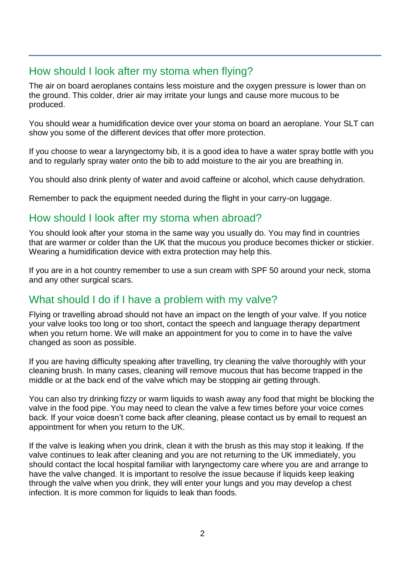## How should I look after my stoma when flying?

The air on board aeroplanes contains less moisture and the oxygen pressure is lower than on the ground. This colder, drier air may irritate your lungs and cause more mucous to be produced.

You should wear a humidification device over your stoma on board an aeroplane. Your SLT can show you some of the different devices that offer more protection.

If you choose to wear a laryngectomy bib, it is a good idea to have a water spray bottle with you and to regularly spray water onto the bib to add moisture to the air you are breathing in.

You should also drink plenty of water and avoid caffeine or alcohol, which cause dehydration.

Remember to pack the equipment needed during the flight in your carry-on luggage.

## How should I look after my stoma when abroad?

You should look after your stoma in the same way you usually do. You may find in countries that are warmer or colder than the UK that the mucous you produce becomes thicker or stickier. Wearing a humidification device with extra protection may help this.

If you are in a hot country remember to use a sun cream with SPF 50 around your neck, stoma and any other surgical scars.

#### What should I do if I have a problem with my valve?

Flying or travelling abroad should not have an impact on the length of your valve. If you notice your valve looks too long or too short, contact the speech and language therapy department when you return home. We will make an appointment for you to come in to have the valve changed as soon as possible.

If you are having difficulty speaking after travelling, try cleaning the valve thoroughly with your cleaning brush. In many cases, cleaning will remove mucous that has become trapped in the middle or at the back end of the valve which may be stopping air getting through.

You can also try drinking fizzy or warm liquids to wash away any food that might be blocking the valve in the food pipe. You may need to clean the valve a few times before your voice comes back. If your voice doesn't come back after cleaning, please contact us by email to request an appointment for when you return to the UK.

If the valve is leaking when you drink, clean it with the brush as this may stop it leaking. If the valve continues to leak after cleaning and you are not returning to the UK immediately, you should contact the local hospital familiar with laryngectomy care where you are and arrange to have the valve changed. It is important to resolve the issue because if liquids keep leaking through the valve when you drink, they will enter your lungs and you may develop a chest infection. It is more common for liquids to leak than foods.